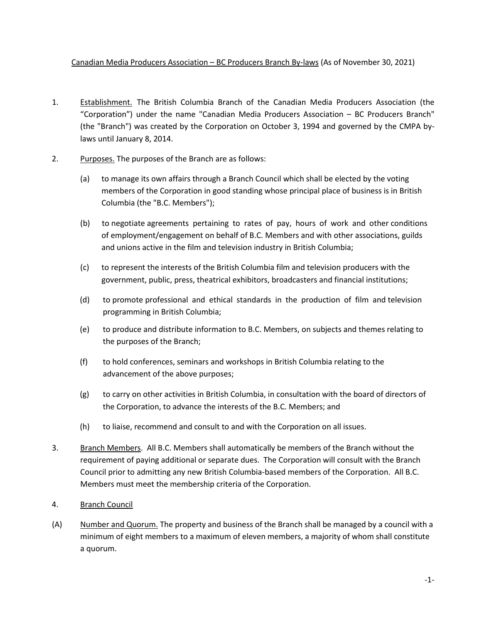## Canadian Media Producers Association – BC Producers Branch By-laws (As of November 30, 2021)

- 1. Establishment. The British Columbia Branch of the Canadian Media Producers Association (the "Corporation") under the name "Canadian Media Producers Association – BC Producers Branch" (the "Branch") was created by the Corporation on October 3, 1994 and governed by the CMPA bylaws until January 8, 2014.
- 2. Purposes. The purposes of the Branch are as follows:
	- (a) to manage its own affairs through a Branch Council which shall be elected by the voting members of the Corporation in good standing whose principal place of business is in British Columbia (the "B.C. Members");
	- (b) to negotiate agreements pertaining to rates of pay, hours of work and other conditions of employment/engagement on behalf of B.C. Members and with other associations, guilds and unions active in the film and television industry in British Columbia;
	- (c) to represent the interests of the British Columbia film and television producers with the government, public, press, theatrical exhibitors, broadcasters and financial institutions;
	- (d) to promote professional and ethical standards in the production of film and television programming in British Columbia;
	- (e) to produce and distribute information to B.C. Members, on subjects and themes relating to the purposes of the Branch;
	- (f) to hold conferences, seminars and workshops in British Columbia relating to the advancement of the above purposes;
	- (g) to carry on other activities in British Columbia, in consultation with the board of directors of the Corporation, to advance the interests of the B.C. Members; and
	- (h) to liaise, recommend and consult to and with the Corporation on all issues.
- 3. Branch Members. All B.C. Members shall automatically be members of the Branch without the requirement of paying additional or separate dues. The Corporation will consult with the Branch Council prior to admitting any new British Columbia-based members of the Corporation. All B.C. Members must meet the membership criteria of the Corporation.
- 4. Branch Council
- (A) Number and Quorum. The property and business of the Branch shall be managed by a council with a minimum of eight members to a maximum of eleven members, a majority of whom shall constitute a quorum.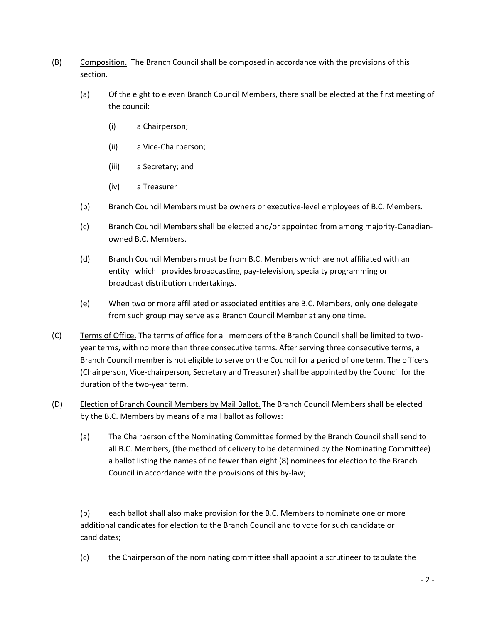- (B) Composition. The Branch Council shall be composed in accordance with the provisions of this section.
	- (a) Of the eight to eleven Branch Council Members, there shall be elected at the first meeting of the council:
		- (i) a Chairperson;
		- (ii) a Vice-Chairperson;
		- (iii) a Secretary; and
		- (iv) a Treasurer
	- (b) Branch Council Members must be owners or executive-level employees of B.C. Members.
	- (c) Branch Council Members shall be elected and/or appointed from among majority-Canadianowned B.C. Members.
	- (d) Branch Council Members must be from B.C. Members which are not affiliated with an entity which provides broadcasting, pay-television, specialty programming or broadcast distribution undertakings.
	- (e) When two or more affiliated or associated entities are B.C. Members, only one delegate from such group may serve as a Branch Council Member at any one time.
- (C) Terms of Office. The terms of office for all members of the Branch Council shall be limited to twoyear terms, with no more than three consecutive terms. After serving three consecutive terms, a Branch Council member is not eligible to serve on the Council for a period of one term. The officers (Chairperson, Vice-chairperson, Secretary and Treasurer) shall be appointed by the Council for the duration of the two-year term.
- (D) Election of Branch Council Members by Mail Ballot. The Branch Council Members shall be elected by the B.C. Members by means of a mail ballot as follows:
	- (a) The Chairperson of the Nominating Committee formed by the Branch Council shall send to all B.C. Members, (the method of delivery to be determined by the Nominating Committee) a ballot listing the names of no fewer than eight (8) nominees for election to the Branch Council in accordance with the provisions of this by-law;

(b) each ballot shall also make provision for the B.C. Members to nominate one or more additional candidates for election to the Branch Council and to vote for such candidate or candidates;

(c) the Chairperson of the nominating committee shall appoint a scrutineer to tabulate the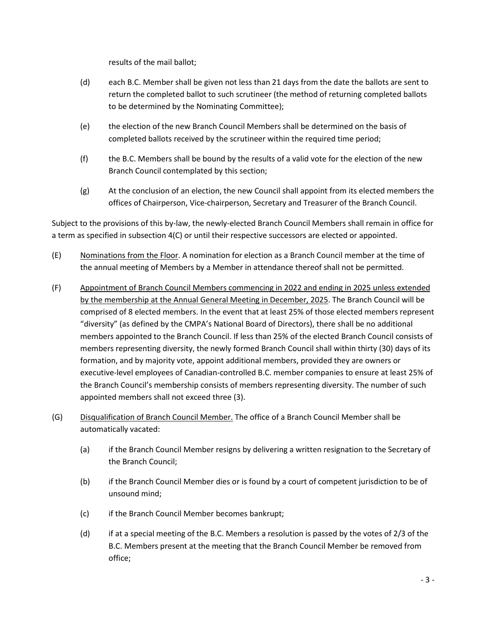results of the mail ballot;

- (d) each B.C. Member shall be given not less than 21 days from the date the ballots are sent to return the completed ballot to such scrutineer (the method of returning completed ballots to be determined by the Nominating Committee);
- (e) the election of the new Branch Council Members shall be determined on the basis of completed ballots received by the scrutineer within the required time period;
- (f) the B.C. Members shall be bound by the results of a valid vote for the election of the new Branch Council contemplated by this section;
- (g) At the conclusion of an election, the new Council shall appoint from its elected members the offices of Chairperson, Vice-chairperson, Secretary and Treasurer of the Branch Council.

Subject to the provisions of this by-law, the newly-elected Branch Council Members shall remain in office for a term as specified in subsection 4(C) or until their respective successors are elected or appointed.

- (E) Nominations from the Floor. A nomination for election as a Branch Council member at the time of the annual meeting of Members by a Member in attendance thereof shall not be permitted.
- (F) Appointment of Branch Council Members commencing in 2022 and ending in 2025 unless extended by the membership at the Annual General Meeting in December, 2025. The Branch Council will be comprised of 8 elected members. In the event that at least 25% of those elected members represent "diversity" (as defined by the CMPA's National Board of Directors), there shall be no additional members appointed to the Branch Council. If less than 25% of the elected Branch Council consists of members representing diversity, the newly formed Branch Council shall within thirty (30) days of its formation, and by majority vote, appoint additional members, provided they are owners or executive-level employees of Canadian-controlled B.C. member companies to ensure at least 25% of the Branch Council's membership consists of members representing diversity. The number of such appointed members shall not exceed three (3).
- (G) Disqualification of Branch Council Member. The office of a Branch Council Member shall be automatically vacated:
	- (a) if the Branch Council Member resigns by delivering a written resignation to the Secretary of the Branch Council;
	- (b) if the Branch Council Member dies or is found by a court of competent jurisdiction to be of unsound mind;
	- (c) if the Branch Council Member becomes bankrupt;
	- (d) if at a special meeting of the B.C. Members a resolution is passed by the votes of 2/3 of the B.C. Members present at the meeting that the Branch Council Member be removed from office;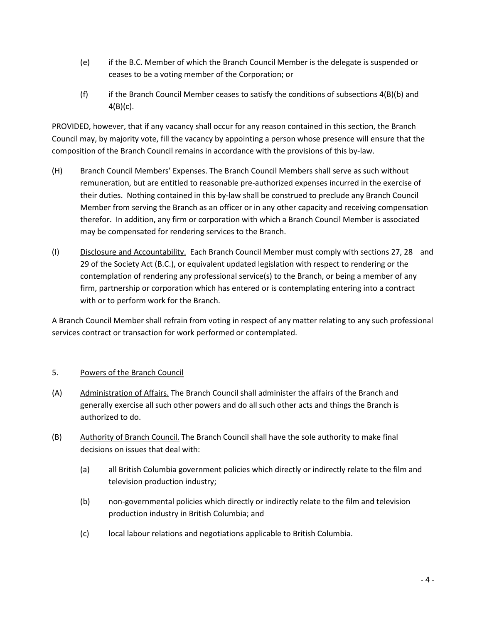- (e) if the B.C. Member of which the Branch Council Member is the delegate is suspended or ceases to be a voting member of the Corporation; or
- (f) if the Branch Council Member ceases to satisfy the conditions of subsections 4(B)(b) and  $4(B)(c)$ .

PROVIDED, however, that if any vacancy shall occur for any reason contained in this section, the Branch Council may, by majority vote, fill the vacancy by appointing a person whose presence will ensure that the composition of the Branch Council remains in accordance with the provisions of this by-law.

- (H) Branch Council Members' Expenses. The Branch Council Members shall serve as such without remuneration, but are entitled to reasonable pre-authorized expenses incurred in the exercise of their duties. Nothing contained in this by-law shall be construed to preclude any Branch Council Member from serving the Branch as an officer or in any other capacity and receiving compensation therefor. In addition, any firm or corporation with which a Branch Council Member is associated may be compensated for rendering services to the Branch.
- (I) Disclosure and Accountability. Each Branch Council Member must comply with sections 27, 28 and 29 of the Society Act (B.C.), or equivalent updated legislation with respect to rendering or the contemplation of rendering any professional service(s) to the Branch, or being a member of any firm, partnership or corporation which has entered or is contemplating entering into a contract with or to perform work for the Branch.

A Branch Council Member shall refrain from voting in respect of any matter relating to any such professional services contract or transaction for work performed or contemplated.

# 5. Powers of the Branch Council

- (A) Administration of Affairs. The Branch Council shall administer the affairs of the Branch and generally exercise all such other powers and do all such other acts and things the Branch is authorized to do.
- (B) Authority of Branch Council. The Branch Council shall have the sole authority to make final decisions on issues that deal with:
	- (a) all British Columbia government policies which directly or indirectly relate to the film and television production industry;
	- (b) non-governmental policies which directly or indirectly relate to the film and television production industry in British Columbia; and
	- (c) local labour relations and negotiations applicable to British Columbia.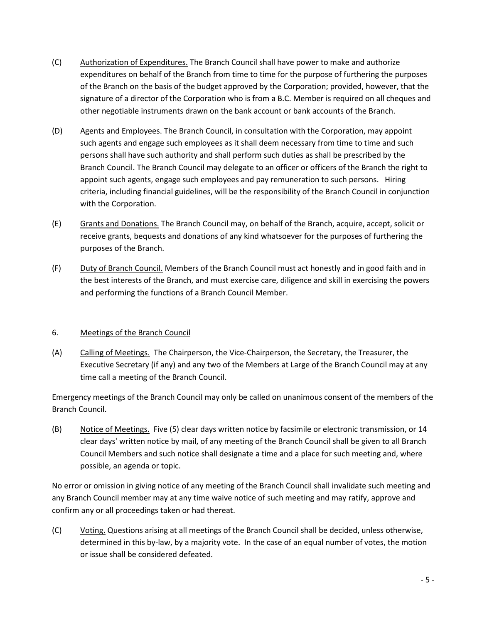- (C) Authorization of Expenditures. The Branch Council shall have power to make and authorize expenditures on behalf of the Branch from time to time for the purpose of furthering the purposes of the Branch on the basis of the budget approved by the Corporation; provided, however, that the signature of a director of the Corporation who is from a B.C. Member is required on all cheques and other negotiable instruments drawn on the bank account or bank accounts of the Branch.
- (D) Agents and Employees. The Branch Council, in consultation with the Corporation, may appoint such agents and engage such employees as it shall deem necessary from time to time and such persons shall have such authority and shall perform such duties as shall be prescribed by the Branch Council. The Branch Council may delegate to an officer or officers of the Branch the right to appoint such agents, engage such employees and pay remuneration to such persons. Hiring criteria, including financial guidelines, will be the responsibility of the Branch Council in conjunction with the Corporation.
- (E) Grants and Donations. The Branch Council may, on behalf of the Branch, acquire, accept, solicit or receive grants, bequests and donations of any kind whatsoever for the purposes of furthering the purposes of the Branch.
- (F) Duty of Branch Council. Members of the Branch Council must act honestly and in good faith and in the best interests of the Branch, and must exercise care, diligence and skill in exercising the powers and performing the functions of a Branch Council Member.

# 6. Meetings of the Branch Council

(A) Calling of Meetings. The Chairperson, the Vice-Chairperson, the Secretary, the Treasurer, the Executive Secretary (if any) and any two of the Members at Large of the Branch Council may at any time call a meeting of the Branch Council.

Emergency meetings of the Branch Council may only be called on unanimous consent of the members of the Branch Council.

(B) Notice of Meetings. Five (5) clear days written notice by facsimile or electronic transmission, or 14 clear days' written notice by mail, of any meeting of the Branch Council shall be given to all Branch Council Members and such notice shall designate a time and a place for such meeting and, where possible, an agenda or topic.

No error or omission in giving notice of any meeting of the Branch Council shall invalidate such meeting and any Branch Council member may at any time waive notice of such meeting and may ratify, approve and confirm any or all proceedings taken or had thereat.

(C) Voting. Questions arising at all meetings of the Branch Council shall be decided, unless otherwise, determined in this by-law, by a majority vote. In the case of an equal number of votes, the motion or issue shall be considered defeated.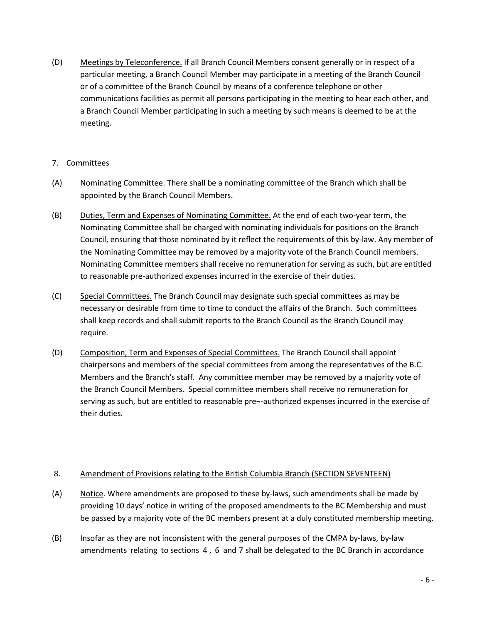(D) Meetings by Teleconference. If all Branch Council Members consent generally or in respect of a particular meeting, a Branch Council Member may participate in a meeting of the Branch Council or of a committee of the Branch Council by means of a conference telephone or other communications facilities as permit all persons participating in the meeting to hear each other, and a Branch Council Member participating in such a meeting by such means is deemed to be at the meeting.

# 7. Committees

- (A) Nominating Committee. There shall be a nominating committee of the Branch which shall be appointed by the Branch Council Members.
- (B) Duties, Term and Expenses of Nominating Committee. At the end of each two-year term, the Nominating Committee shall be charged with nominating individuals for positions on the Branch Council, ensuring that those nominated by it reflect the requirements of this by-law. Any member of the Nominating Committee may be removed by a majority vote of the Branch Council members. Nominating Committee members shall receive no remuneration for serving as such, but are entitled to reasonable pre-authorized expenses incurred in the exercise of their duties.
- (C) Special Committees. The Branch Council may designate such special committees as may be necessary or desirable from time to time to conduct the affairs of the Branch. Such committees shall keep records and shall submit reports to the Branch Council as the Branch Council may require.
- (D) Composition, Term and Expenses of Special Committees. The Branch Council shall appoint chairpersons and members of the special committees from among the representatives of the B.C. Members and the Branch's staff. Any committee member may be removed by a majority vote of the Branch Council Members. Special committee members shall receive no remuneration for serving as such, but are entitled to reasonable pre¬-authorized expenses incurred in the exercise of their duties.

# 8. Amendment of Provisions relating to the British Columbia Branch (SECTION SEVENTEEN)

- (A) Notice. Where amendments are proposed to these by-laws, such amendments shall be made by providing 10 days' notice in writing of the proposed amendments to the BC Membership and must be passed by a majority vote of the BC members present at a duly constituted membership meeting.
- (B) Insofar as they are not inconsistent with the general purposes of the CMPA by-laws, by-law amendments relating to sections 4 , 6 and 7 shall be delegated to the BC Branch in accordance